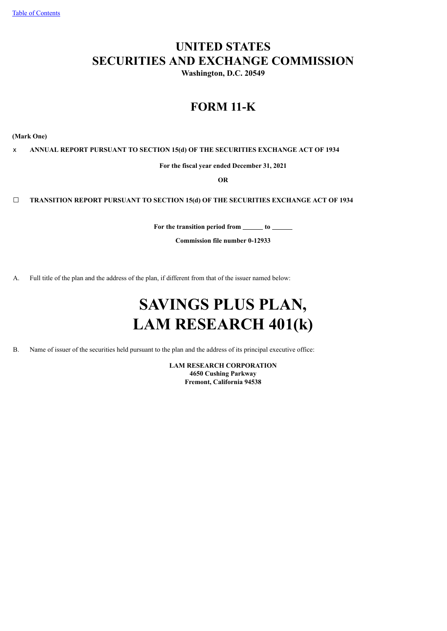# **UNITED STATES SECURITIES AND EXCHANGE COMMISSION**

**Washington, D.C. 20549**

## **FORM 11-K**

**(Mark One)**

x **ANNUAL REPORT PURSUANT TO SECTION 15(d) OF THE SECURITIES EXCHANGE ACT OF 1934**

**For the fiscal year ended December 31, 2021**

**OR**

☐ **TRANSITION REPORT PURSUANT TO SECTION 15(d) OF THE SECURITIES EXCHANGE ACT OF 1934**

**For the transition period from to**

**Commission file number 0-12933**

A. Full title of the plan and the address of the plan, if different from that of the issuer named below:

# **SAVINGS PLUS PLAN, LAM RESEARCH 401(k)**

<span id="page-0-0"></span>B. Name of issuer of the securities held pursuant to the plan and the address of its principal executive office:

**LAM RESEARCH CORPORATION 4650 Cushing Parkway Fremont, California 94538**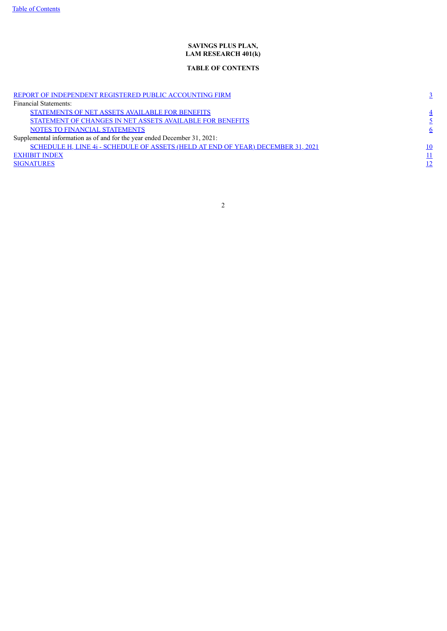#### **SAVINGS PLUS PLAN, LAM RESEARCH 401(k)**

#### **TABLE OF CONTENTS**

<span id="page-1-0"></span>

| REPORT OF INDEPENDENT REGISTERED PUBLIC ACCOUNTING FIRM                          |    |
|----------------------------------------------------------------------------------|----|
| Financial Statements:                                                            |    |
| STATEMENTS OF NET ASSETS AVAILABLE FOR BENEFITS                                  |    |
| STATEMENT OF CHANGES IN NET ASSETS AVAILABLE FOR BENEFITS                        |    |
| NOTES TO FINANCIAL STATEMENTS                                                    |    |
| Supplemental information as of and for the year ended December 31, 2021:         |    |
| SCHEDULE H, LINE 4i - SCHEDULE OF ASSETS (HELD AT END OF YEAR) DECEMBER 31, 2021 | 10 |
| <b>EXHIBIT INDEX</b>                                                             |    |
| <b>SIGNATURES</b>                                                                |    |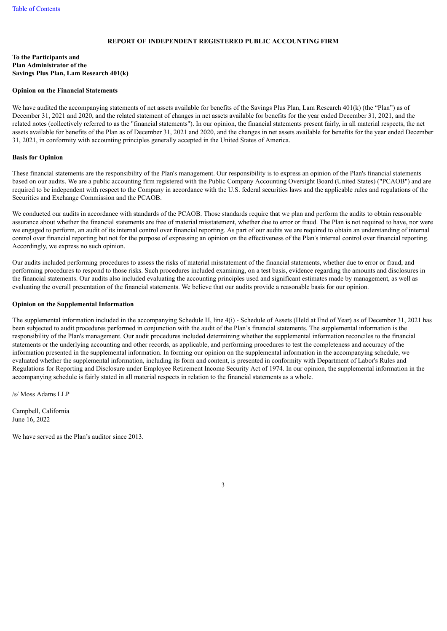#### **REPORT OF INDEPENDENT REGISTERED PUBLIC ACCOUNTING FIRM**

#### **To the Participants and Plan Administrator of the Savings Plus Plan, Lam Research 401(k)**

#### **Opinion on the Financial Statements**

We have audited the accompanying statements of net assets available for benefits of the Savings Plus Plan, Lam Research 401(k) (the "Plan") as of December 31, 2021 and 2020, and the related statement of changes in net assets available for benefits for the year ended December 31, 2021, and the related notes (collectively referred to as the "financial statements"). In our opinion, the financial statements present fairly, in all material respects, the net assets available for benefits of the Plan as of December 31, 2021 and 2020, and the changes in net assets available for benefits for the year ended December 31, 2021, in conformity with accounting principles generally accepted in the United States of America.

#### **Basis for Opinion**

These financial statements are the responsibility of the Plan's management. Our responsibility is to express an opinion of the Plan's financial statements based on our audits. We are a public accounting firm registered with the Public Company Accounting Oversight Board (United States) ("PCAOB") and are required to be independent with respect to the Company in accordance with the U.S. federal securities laws and the applicable rules and regulations of the Securities and Exchange Commission and the PCAOB.

We conducted our audits in accordance with standards of the PCAOB. Those standards require that we plan and perform the audits to obtain reasonable assurance about whether the financial statements are free of material misstatement, whether due to error or fraud. The Plan is not required to have, nor were we engaged to perform, an audit of its internal control over financial reporting. As part of our audits we are required to obtain an understanding of internal control over financial reporting but not for the purpose of expressing an opinion on the effectiveness of the Plan's internal control over financial reporting. Accordingly, we express no such opinion.

Our audits included performing procedures to assess the risks of material misstatement of the financial statements, whether due to error or fraud, and performing procedures to respond to those risks. Such procedures included examining, on a test basis, evidence regarding the amounts and disclosures in the financial statements. Our audits also included evaluating the accounting principles used and significant estimates made by management, as well as evaluating the overall presentation of the financial statements. We believe that our audits provide a reasonable basis for our opinion.

#### **Opinion on the Supplemental Information**

The supplemental information included in the accompanying Schedule H, line 4(i) - Schedule of Assets (Held at End of Year) as of December 31, 2021 has been subjected to audit procedures performed in conjunction with the audit of the Plan's financial statements. The supplemental information is the responsibility of the Plan's management. Our audit procedures included determining whether the supplemental information reconciles to the financial statements or the underlying accounting and other records, as applicable, and performing procedures to test the completeness and accuracy of the information presented in the supplemental information. In forming our opinion on the supplemental information in the accompanying schedule, we evaluated whether the supplemental information, including its form and content, is presented in conformity with Department of Labor's Rules and Regulations for Reporting and Disclosure under Employee Retirement Income Security Act of 1974. In our opinion, the supplemental information in the accompanying schedule is fairly stated in all material respects in relation to the financial statements as a whole.

/s/ Moss Adams LLP

Campbell, California June 16, 2022

<span id="page-2-0"></span>We have served as the Plan's auditor since 2013.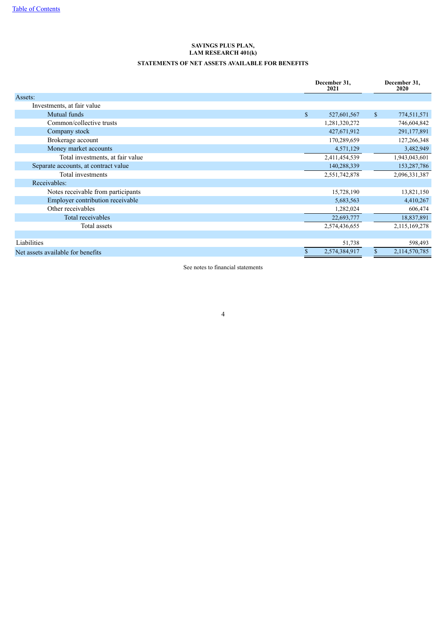#### **SAVINGS PLUS PLAN, LAM RESEARCH 401(k) STATEMENTS OF NET ASSETS AVAILABLE FOR BENEFITS**

|                                      | December 31,<br>2021 |              | December 31,<br>2020 |  |
|--------------------------------------|----------------------|--------------|----------------------|--|
| Assets:                              |                      |              |                      |  |
| Investments, at fair value           |                      |              |                      |  |
| Mutual funds                         | \$<br>527,601,567    | $\mathbb{S}$ | 774,511,571          |  |
| Common/collective trusts             | 1,281,320,272        |              | 746,604,842          |  |
| Company stock                        | 427,671,912          |              | 291,177,891          |  |
| Brokerage account                    | 170,289,659          |              | 127,266,348          |  |
| Money market accounts                | 4,571,129            |              | 3,482,949            |  |
| Total investments, at fair value     | 2,411,454,539        |              | 1,943,043,601        |  |
| Separate accounts, at contract value | 140,288,339          |              | 153,287,786          |  |
| Total investments                    | 2,551,742,878        |              | 2,096,331,387        |  |
| Receivables:                         |                      |              |                      |  |
| Notes receivable from participants   | 15,728,190           |              | 13,821,150           |  |
| Employer contribution receivable     | 5,683,563            |              | 4,410,267            |  |
| Other receivables                    | 1,282,024            |              | 606,474              |  |
| Total receivables                    | 22,693,777           |              | 18,837,891           |  |
| Total assets                         | 2,574,436,655        |              | 2,115,169,278        |  |
|                                      |                      |              |                      |  |
| Liabilities                          | 51,738               |              | 598,493              |  |
| Net assets available for benefits    | \$<br>2,574,384,917  |              | 2,114,570,785        |  |

<span id="page-3-0"></span>See notes to financial statements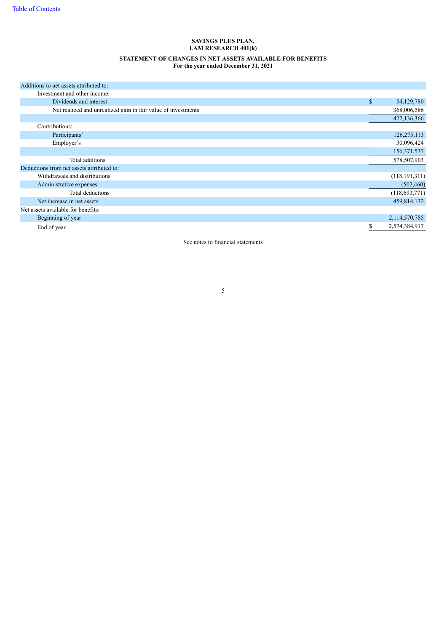#### **SAVINGS PLUS PLAN, LAM RESEARCH 401(k)**

### **STATEMENT OF CHANGES IN NET ASSETS AVAILABLE FOR BENEFITS**

**For the year ended December 31, 2021**

| Additions to net assets attributed to:                        |              |                 |
|---------------------------------------------------------------|--------------|-----------------|
| Investment and other income:                                  |              |                 |
| Dividends and interest                                        | $\mathbb{S}$ | 54,129,780      |
| Net realized and unrealized gain in fair value of investments |              | 368,006,586     |
|                                                               |              | 422,136,366     |
| Contributions:                                                |              |                 |
| Participants'                                                 |              | 126,275,113     |
| Employer's                                                    |              | 30,096,424      |
|                                                               |              | 156, 371, 537   |
| Total additions                                               |              | 578,507,903     |
| Deductions from net assets attributed to:                     |              |                 |
| Withdrawals and distributions                                 |              | (118, 191, 311) |
| Administrative expenses                                       |              | (502, 460)      |
| Total deductions                                              |              | (118, 693, 771) |
| Net increase in net assets                                    |              | 459,814,132     |
| Net assets available for benefits:                            |              |                 |
| Beginning of year                                             |              | 2,114,570,785   |
| End of year                                                   |              | 2,574,384,917   |

<span id="page-4-0"></span>See notes to financial statements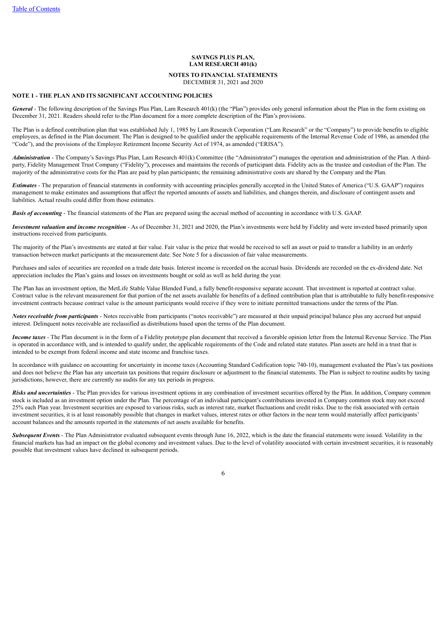#### **SAVINGS PLUS PLAN, LAM RESEARCH 401(k)**

#### **NOTES TO FINANCIAL STATEMENTS**

DECEMBER 31, 2021 and 2020

#### **NOTE 1 - THE PLAN AND ITS SIGNIFICANT ACCOUNTING POLICIES**

*General* - The following description of the Savings Plus Plan, Lam Research 401(k) (the "Plan") provides only general information about the Plan in the form existing on December 31, 2021. Readers should refer to the Plan document for a more complete description of the Plan's provisions.

The Plan is a defined contribution plan that was established July 1, 1985 by Lam Research Corporation ("Lam Research" or the "Company") to provide benefits to eligible employees, as defined in the Plan document. The Plan is designed to be qualified under the applicable requirements of the Internal Revenue Code of 1986, as amended (the "Code"), and the provisions of the Employee Retirement Income Security Act of 1974, as amended ("ERISA").

*Administration* - The Company's Savings Plus Plan, Lam Research 401(k) Committee (the "Administrator") manages the operation and administration of the Plan. A thirdparty, Fidelity Management Trust Company ("Fidelity"), processes and maintains the records of participant data. Fidelity acts as the trustee and custodian of the Plan. The majority of the administrative costs for the Plan are paid by plan participants; the remaining administrative costs are shared by the Company and the Plan.

*Estimates* - The preparation of financial statements in conformity with accounting principles generally accepted in the United States of America ("U.S. GAAP") requires management to make estimates and assumptions that affect the reported amounts of assets and liabilities, and changes therein, and disclosure of contingent assets and liabilities. Actual results could differ from those estimates.

*Basis of accounting* - The financial statements of the Plan are prepared using the accrual method of accounting in accordance with U.S. GAAP.

*Investment valuation and income recognition* - As of December 31, 2021 and 2020, the Plan's investments were held by Fidelity and were invested based primarily upon instructions received from participants.

The majority of the Plan's investments are stated at fair value. Fair value is the price that would be received to sell an asset or paid to transfer a liability in an orderly transaction between market participants at the measurement date. See Note 5 for a discussion of fair value measurements.

Purchases and sales of securities are recorded on a trade date basis. Interest income is recorded on the accrual basis. Dividends are recorded on the ex-dividend date. Net appreciation includes the Plan's gains and losses on investments bought or sold as well as held during the year.

The Plan has an investment option, the MetLife Stable Value Blended Fund, a fully benefit-responsive separate account. That investment is reported at contract value. Contract value is the relevant measurement for that portion of the net assets available for benefits of a defined contribution plan that is attributable to fully benefit-responsive investment contracts because contract value is the amount participants would receive if they were to initiate permitted transactions under the terms of the Plan.

*Notes receivable from participants* - Notes receivable from participants ("notes receivable") are measured at their unpaid principal balance plus any accrued but unpaid interest. Delinquent notes receivable are reclassified as distributions based upon the terms of the Plan document.

*Income taxes* - The Plan document is in the form of a Fidelity prototype plan document that received a favorable opinion letter from the Internal Revenue Service. The Plan is operated in accordance with, and is intended to qualify under, the applicable requirements of the Code and related state statutes. Plan assets are held in a trust that is intended to be exempt from federal income and state income and franchise taxes.

In accordance with guidance on accounting for uncertainty in income taxes (Accounting Standard Codification topic 740-10), management evaluated the Plan's tax positions and does not believe the Plan has any uncertain tax positions that require disclosure or adjustment to the financial statements. The Plan is subject to routine audits by taxing jurisdictions; however, there are currently no audits for any tax periods in progress.

*Risks and uncertainties* - The Plan provides for various investment options in any combination of investment securities offered by the Plan. In addition, Company common stock is included as an investment option under the Plan. The percentage of an individual participant's contributions invested in Company common stock may not exceed 25% each Plan year. Investment securities are exposed to various risks, such as interest rate, market fluctuations and credit risks. Due to the risk associated with certain investment securities, it is at least reasonably possible that changes in market values, interest rates or other factors in the near term would materially affect participants' account balances and the amounts reported in the statements of net assets available for benefits.

*Subsequent Events* - The Plan Administrator evaluated subsequent events through June 16, 2022, which is the date the financial statements were issued. Volatility in the financial markets has had an impact on the global economy and investment values. Due to the level of volatility associated with certain investment securities, it is reasonably possible that investment values have declined in subsequent periods.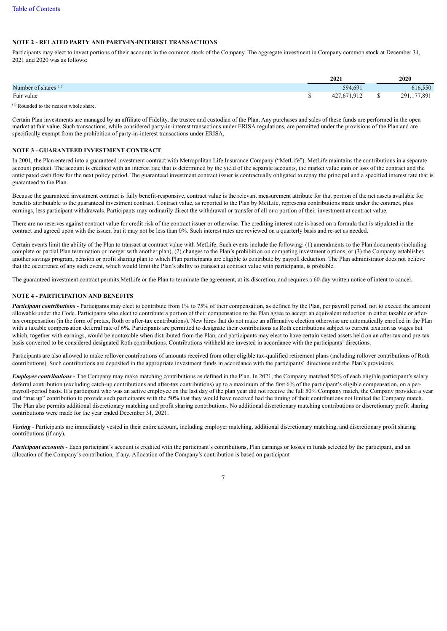#### **NOTE 2 - RELATED PARTY AND PARTY-IN-INTEREST TRANSACTIONS**

Participants may elect to invest portions of their accounts in the common stock of the Company. The aggregate investment in Company common stock at December 31, 2021 and 2020 was as follows:

|                        | 2021        | 2020        |
|------------------------|-------------|-------------|
| Number of shares $(1)$ | 594.691     | 616,550     |
| Fair value             | 427,671,912 | 291,177,891 |

<sup>(1)</sup> Rounded to the nearest whole share.

Certain Plan investments are managed by an affiliate of Fidelity, the trustee and custodian of the Plan. Any purchases and sales of these funds are performed in the open market at fair value. Such transactions, while considered party-in-interest transactions under ERISA regulations, are permitted under the provisions of the Plan and are specifically exempt from the prohibition of party-in-interest transactions under ERISA.

#### **NOTE 3 - GUARANTEED INVESTMENT CONTRACT**

In 2001, the Plan entered into a guaranteed investment contract with Metropolitan Life Insurance Company ("MetLife"). MetLife maintains the contributions in a separate account product. The account is credited with an interest rate that is determined by the yield of the separate accounts, the market value gain or loss of the contract and the anticipated cash flow for the next policy period. The guaranteed investment contract issuer is contractually obligated to repay the principal and a specified interest rate that is guaranteed to the Plan.

Because the guaranteed investment contract is fully benefit-responsive, contract value is the relevant measurement attribute for that portion of the net assets available for benefits attributable to the guaranteed investment contract. Contract value, as reported to the Plan by MetLife, represents contributions made under the contract, plus earnings, less participant withdrawals. Participants may ordinarily direct the withdrawal or transfer of all or a portion of their investment at contract value.

There are no reserves against contract value for credit risk of the contract issuer or otherwise. The crediting interest rate is based on a formula that is stipulated in the contract and agreed upon with the issuer, but it may not be less than 0%. Such interest rates are reviewed on a quarterly basis and re-set as needed.

Certain events limit the ability of the Plan to transact at contract value with MetLife. Such events include the following: (1) amendments to the Plan documents (including complete or partial Plan termination or merger with another plan), (2) changes to the Plan's prohibition on competing investment options, or (3) the Company establishes another savings program, pension or profit sharing plan to which Plan participants are eligible to contribute by payroll deduction. The Plan administrator does not believe that the occurrence of any such event, which would limit the Plan's ability to transact at contract value with participants, is probable.

The guaranteed investment contract permits MetLife or the Plan to terminate the agreement, at its discretion, and requires a 60-day written notice of intent to cancel.

#### **NOTE 4 - PARTICIPATION AND BENEFITS**

*Participant contributions* - Participants may elect to contribute from 1% to 75% of their compensation, as defined by the Plan, per payroll period, not to exceed the amount allowable under the Code. Participants who elect to contribute a portion of their compensation to the Plan agree to accept an equivalent reduction in either taxable or aftertax compensation (in the form of pretax, Roth or after-tax contributions). New hires that do not make an affirmative election otherwise are automatically enrolled in the Plan with a taxable compensation deferral rate of 6%. Participants are permitted to designate their contributions as Roth contributions subject to current taxation as wages but which, together with earnings, would be nontaxable when distributed from the Plan, and participants may elect to have certain vested assets held on an after-tax and pre-tax basis converted to be considered designated Roth contributions. Contributions withheld are invested in accordance with the participants' directions.

Participants are also allowed to make rollover contributions of amounts received from other eligible tax-qualified retirement plans (including rollover contributions of Roth contributions). Such contributions are deposited in the appropriate investment funds in accordance with the participants' directions and the Plan's provisions.

*Employer contributions* - The Company may make matching contributions as defined in the Plan. In 2021, the Company matched 50% of each eligible participant's salary deferral contribution (excluding catch-up contributions and after-tax contributions) up to a maximum of the first 6% of the participant's eligible compensation, on a perpayroll-period basis. If a participant who was an active employee on the last day of the plan year did not receive the full 50% Company match, the Company provided a year end "true up" contribution to provide such participants with the 50% that they would have received had the timing of their contributions not limited the Company match. The Plan also permits additional discretionary matching and profit sharing contributions. No additional discretionary matching contributions or discretionary profit sharing contributions were made for the year ended December 31, 2021.

*Vesting* - Participants are immediately vested in their entire account, including employer matching, additional discretionary matching, and discretionary profit sharing contributions (if any).

Participant accounts - Each participant's account is credited with the participant's contributions, Plan earnings or losses in funds selected by the participant, and an allocation of the Company's contribution, if any. Allocation of the Company's contribution is based on participant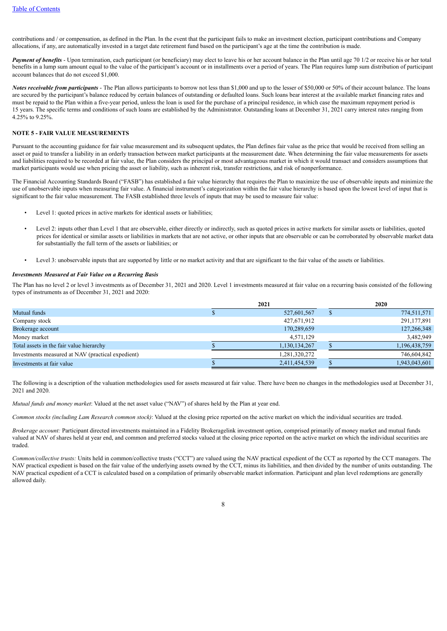contributions and / or compensation, as defined in the Plan. In the event that the participant fails to make an investment election, participant contributions and Company allocations, if any, are automatically invested in a target date retirement fund based on the participant's age at the time the contribution is made.

**Payment of benefits** - Upon termination, each participant (or beneficiary) may elect to leave his or her account balance in the Plan until age 70 1/2 or receive his or her total benefits in a lump sum amount equal to the value of the participant's account or in installments over a period of years. The Plan requires lump sum distribution of participant account balances that do not exceed \$1,000.

*Notes receivable from participants* - The Plan allows participants to borrow not less than \$1,000 and up to the lesser of \$50,000 or 50% of their account balance. The loans are secured by the participant's balance reduced by certain balances of outstanding or defaulted loans. Such loans bear interest at the available market financing rates and must be repaid to the Plan within a five-year period, unless the loan is used for the purchase of a principal residence, in which case the maximum repayment period is 15 years. The specific terms and conditions of such loans are established by the Administrator. Outstanding loans at December 31, 2021 carry interest rates ranging from 4.25% to 9.25%.

#### **NOTE 5 - FAIR VALUE MEASUREMENTS**

Pursuant to the accounting guidance for fair value measurement and its subsequent updates, the Plan defines fair value as the price that would be received from selling an asset or paid to transfer a liability in an orderly transaction between market participants at the measurement date. When determining the fair value measurements for assets and liabilities required to be recorded at fair value, the Plan considers the principal or most advantageous market in which it would transact and considers assumptions that market participants would use when pricing the asset or liability, such as inherent risk, transfer restrictions, and risk of nonperformance.

The Financial Accounting Standards Board ("FASB") has established a fair value hierarchy that requires the Plan to maximize the use of observable inputs and minimize the use of unobservable inputs when measuring fair value. A financial instrument's categorization within the fair value hierarchy is based upon the lowest level of input that is significant to the fair value measurement. The FASB established three levels of inputs that may be used to measure fair value:

- Level 1: quoted prices in active markets for identical assets or liabilities;
- Level 2: inputs other than Level 1 that are observable, either directly or indirectly, such as quoted prices in active markets for similar assets or liabilities, quoted prices for identical or similar assets or liabilities in markets that are not active, or other inputs that are observable or can be corroborated by observable market data for substantially the full term of the assets or liabilities; or
- Level 3: unobservable inputs that are supported by little or no market activity and that are significant to the fair value of the assets or liabilities.

#### *Investments Measured at Fair Value on a Recurring Basis*

The Plan has no level 2 or level 3 investments as of December 31, 2021 and 2020. Level 1 investments measured at fair value on a recurring basis consisted of the following types of instruments as of December 31, 2021 and 2020:

|                                                   | 2021          | 2020          |
|---------------------------------------------------|---------------|---------------|
| Mutual funds                                      | 527,601,567   | 774,511,571   |
| Company stock                                     | 427,671,912   | 291,177,891   |
| Brokerage account                                 | 170,289,659   | 127,266,348   |
| Money market                                      | 4,571,129     | 3,482,949     |
| Total assets in the fair value hierarchy          | 1,130,134,267 | 1,196,438,759 |
| Investments measured at NAV (practical expedient) | 1,281,320,272 | 746,604,842   |
| Investments at fair value                         | 2,411,454,539 | 1,943,043,601 |
|                                                   |               |               |

The following is a description of the valuation methodologies used for assets measured at fair value. There have been no changes in the methodologies used at December 31, 2021 and 2020.

*Mutual funds and money market*: Valued at the net asset value ("NAV") of shares held by the Plan at year end.

*Common stocks (including Lam Research common stock)*: Valued at the closing price reported on the active market on which the individual securities are traded.

*Brokerage account:* Participant directed investments maintained in a Fidelity Brokeragelink investment option, comprised primarily of money market and mutual funds valued at NAV of shares held at year end, and common and preferred stocks valued at the closing price reported on the active market on which the individual securities are traded.

*Common/collective trusts:* Units held in common/collective trusts ("CCT") are valued using the NAV practical expedient of the CCT as reported by the CCT managers. The NAV practical expedient is based on the fair value of the underlying assets owned by the CCT, minus its liabilities, and then divided by the number of units outstanding. The NAV practical expedient of a CCT is calculated based on a compilation of primarily observable market information. Participant and plan level redemptions are generally allowed daily.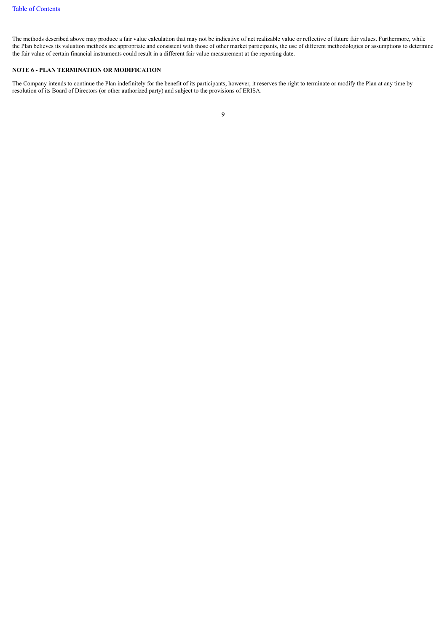The methods described above may produce a fair value calculation that may not be indicative of net realizable value or reflective of future fair values. Furthermore, while the Plan believes its valuation methods are appropriate and consistent with those of other market participants, the use of different methodologies or assumptions to determine the fair value of certain financial instruments could result in a different fair value measurement at the reporting date.

#### **NOTE 6 - PLAN TERMINATION OR MODIFICATION**

The Company intends to continue the Plan indefinitely for the benefit of its participants; however, it reserves the right to terminate or modify the Plan at any time by resolution of its Board of Directors (or other authorized party) and subject to the provisions of ERISA.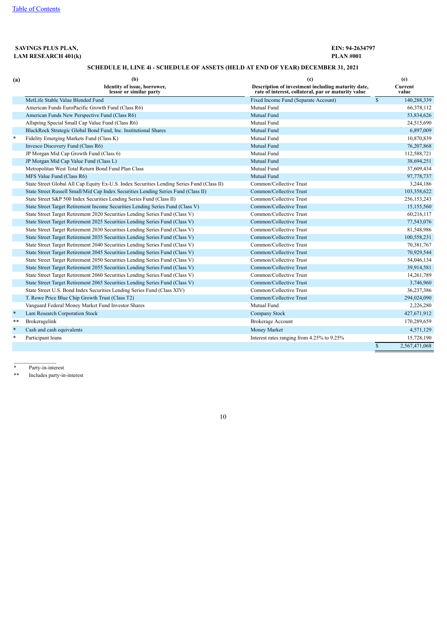#### <span id="page-9-0"></span>**SAVINGS PLUS PLAN, EIN: 94-2634797 LAM RESEARCH 401(k) PLAN #001**

#### **SCHEDULE H, LINE 4i - SCHEDULE OF ASSETS (HELD AT END OF YEAR) DECEMBER 31, 2021**

| (a)    | (b)                                                                                                                                                                  | (c)                                        |               | (e)              |  |  |
|--------|----------------------------------------------------------------------------------------------------------------------------------------------------------------------|--------------------------------------------|---------------|------------------|--|--|
|        | Identity of issue, borrower,<br>Description of investment including maturity date,<br>rate of interest, collateral, par or maturity value<br>lessor or similar party |                                            |               | Current<br>value |  |  |
|        | MetLife Stable Value Blended Fund                                                                                                                                    | Fixed Income Fund (Separate Account)       | $\mathsf{\$}$ | 140,288,339      |  |  |
|        | American Funds EuroPacific Growth Fund (Class R6)                                                                                                                    | Mutual Fund                                |               | 66,378,112       |  |  |
|        | American Funds New Perspective Fund (Class R6)                                                                                                                       | Mutual Fund                                |               | 53,834,626       |  |  |
|        | Allspring Special Small Cap Value Fund (Class R6)                                                                                                                    | Mutual Fund                                |               | 24,515,690       |  |  |
|        | BlackRock Strategic Global Bond Fund, Inc. Institutional Shares                                                                                                      | Mutual Fund                                |               | 6,897,009        |  |  |
|        | Fidelity Emerging Markets Fund (Class K)                                                                                                                             | Mutual Fund                                |               | 10,870,839       |  |  |
|        | Invesco Discovery Fund (Class R6)                                                                                                                                    | Mutual Fund                                |               | 76,207,868       |  |  |
|        | JP Morgan Mid Cap Growth Fund (Class 6)                                                                                                                              | Mutual Fund                                |               | 112,588,721      |  |  |
|        | JP Morgan Mid Cap Value Fund (Class L)                                                                                                                               | Mutual Fund                                |               | 38,694,251       |  |  |
|        | Metropolitan West Total Return Bond Fund Plan Class                                                                                                                  | Mutual Fund                                |               | 37,609,434       |  |  |
|        | MFS Value Fund (Class R6)                                                                                                                                            | Mutual Fund                                |               | 97,778,737       |  |  |
|        | State Street Global All Cap Equity Ex-U.S. Index Securities Lending Series Fund (Class II)                                                                           | Common/Collective Trust                    |               | 3,244,186        |  |  |
|        | State Street Russell Small/Mid Cap Index Securities Lending Series Fund (Class II)                                                                                   | Common/Collective Trust                    |               | 103,358,622      |  |  |
|        | State Street S&P 500 Index Securities Lending Series Fund (Class II)                                                                                                 | Common/Collective Trust                    |               | 256, 153, 243    |  |  |
|        | State Street Target Retirement Income Securities Lending Series Fund (Class V)                                                                                       | Common/Collective Trust                    |               | 15,155,560       |  |  |
|        | State Street Target Retirement 2020 Securities Lending Series Fund (Class V)                                                                                         | Common/Collective Trust                    |               | 60,216,117       |  |  |
|        | State Street Target Retirement 2025 Securities Lending Series Fund (Class V)                                                                                         | Common/Collective Trust                    |               | 77,543,076       |  |  |
|        | State Street Target Retirement 2030 Securities Lending Series Fund (Class V)                                                                                         | Common/Collective Trust                    |               | 81,548,986       |  |  |
|        | State Street Target Retirement 2035 Securities Lending Series Fund (Class V)                                                                                         | Common/Collective Trust                    |               | 100,558,231      |  |  |
|        | State Street Target Retirement 2040 Securities Lending Series Fund (Class V)                                                                                         | Common/Collective Trust                    |               | 70,381,767       |  |  |
|        | State Street Target Retirement 2045 Securities Lending Series Fund (Class V)                                                                                         | Common/Collective Trust                    |               | 70,929,544       |  |  |
|        | State Street Target Retirement 2050 Securities Lending Series Fund (Class V)                                                                                         | Common/Collective Trust                    |               | 54,046,134       |  |  |
|        | State Street Target Retirement 2055 Securities Lending Series Fund (Class V)                                                                                         | Common/Collective Trust                    |               | 39,914,581       |  |  |
|        | State Street Target Retirement 2060 Securities Lending Series Fund (Class V)                                                                                         | Common/Collective Trust                    |               | 14,261,789       |  |  |
|        | State Street Target Retirement 2065 Securities Lending Series Fund (Class V)                                                                                         | Common/Collective Trust                    |               | 3,746,960        |  |  |
|        | State Street U.S. Bond Index Securities Lending Series Fund (Class XIV)                                                                                              | Common/Collective Trust                    |               | 36,237,386       |  |  |
|        | T. Rowe Price Blue Chip Growth Trust (Class T2)                                                                                                                      | Common/Collective Trust                    |               | 294,024,090      |  |  |
|        | Vanguard Federal Money Market Fund Investor Shares                                                                                                                   | Mutual Fund                                |               | 2,226,280        |  |  |
|        | Lam Research Corporation Stock                                                                                                                                       | Company Stock                              |               | 427,671,912      |  |  |
| $* *$  | Brokeragelink                                                                                                                                                        | <b>Brokerage Account</b>                   |               | 170,289,659      |  |  |
| $\ast$ | Cash and cash equivalents                                                                                                                                            | Money Market                               |               | 4,571,129        |  |  |
|        | Participant loans                                                                                                                                                    | Interest rates ranging from 4.25% to 9.25% |               | 15,728,190       |  |  |
|        |                                                                                                                                                                      |                                            | \$            | 2,567,471,068    |  |  |

\* Party-in-interest

<span id="page-9-1"></span>\*\* Includes party-in-interest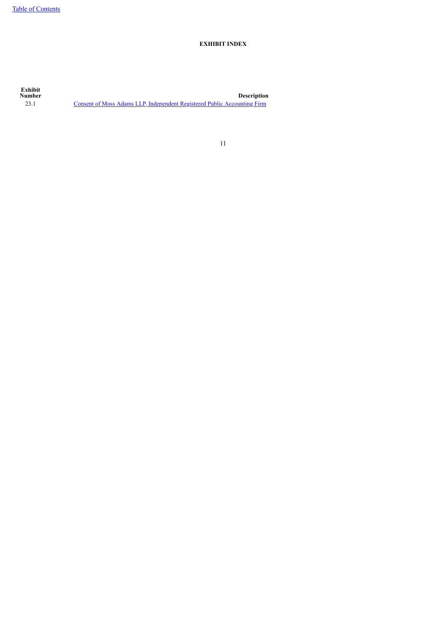### **EXHIBIT INDEX**

<span id="page-10-0"></span>**Exhibit** Example<br> **Number Description**<br>
23.1 Consent of Moss Adams LLP. Independent Registered Public Accounting Firm 23.1 [Consent of Moss Adams LLP, Independent Registered Public Accounting Firm](#page-12-0)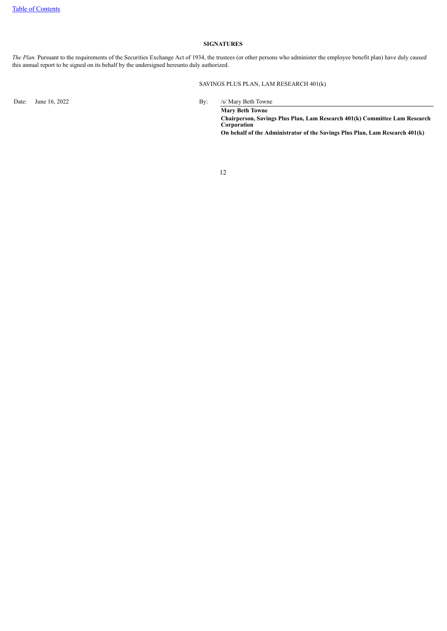#### **SIGNATURES**

*The Plan.* Pursuant to the requirements of the Securities Exchange Act of 1934, the trustees (or other persons who administer the employee benefit plan) have duly caused this annual report to be signed on its behalf by the undersigned hereunto duly authorized.

SAVINGS PLUS PLAN, LAM RESEARCH 401(k)

Date: June 16, 2022 By: /s/ Mary Beth Towne

**Mary Beth Towne Chairperson, Savings Plus Plan, Lam Research 401(k) Committee Lam Research Corporation On behalf of the Administrator of the Savings Plus Plan, Lam Research 401(k)**